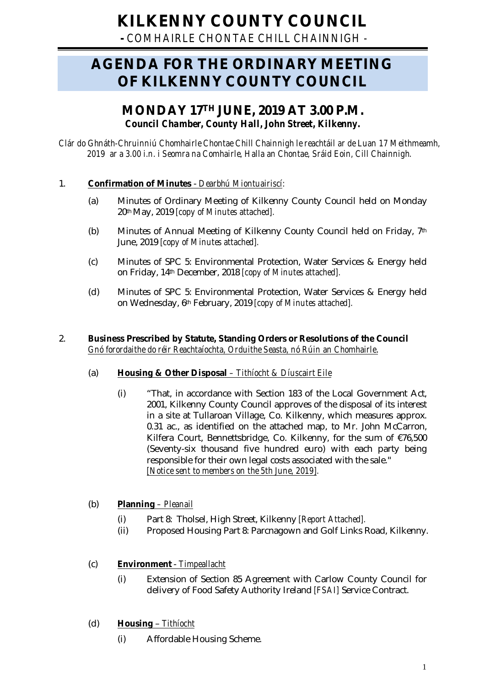# **KILKENNY COUNTY COUNCIL**

**-** *COMHAIRLE CHONTAE CHILL CHAINNIGH -*

# **AGENDA FOR THE ORDINARY MEETING OF KILKENNY COUNTY COUNCIL**

# **MONDAY 17TH JUNE, 2019 AT 3.00 P.M.** *Council Chamber, County Hall, John Street, Kilkenny.*

*Clár do Ghnáth-Chruinniú Chomhairle Chontae Chill Chainnigh le reachtáil ar de Luan 17 Meithmeamh, 2019 ar a 3.00 i.n. i Seomra na Comhairle, Halla an Chontae, Sráid Eoin, Cill Chainnigh.*

# 1. **Confirmation of Minutes** - *Dearbhú Miontuairiscí:*

- (a) Minutes of Ordinary Meeting of Kilkenny County Council held on Monday 20thMay, 2019 *[copy of Minutes attached].*
- (b) Minutes of Annual Meeting of Kilkenny County Council held on Friday, 7th June, 2019 *[copy of Minutes attached].*
- (c) Minutes of SPC 5: Environmental Protection, Water Services & Energy held on Friday, 14th December, 2018 *[copy of Minutes attached].*
- (d) Minutes of SPC 5: Environmental Protection, Water Services & Energy held on Wednesday, 6th February, 2019 *[copy of Minutes attached].*

#### 2. **Business Prescribed by Statute, Standing Orders or Resolutions of the Council** *Gnó forordaithe do réir Reachtaíochta, Orduithe Seasta, nó Rúin an Chomhairle*.

#### (a) **Housing & Other Disposal** *– Tithíocht & Díuscairt Eile*

(i) "That, in accordance with Section 183 of the Local Government Act, 2001, Kilkenny County Council approves of the disposal of its interest in a site at Tullaroan Village, Co. Kilkenny, which measures approx. 0.31 ac., as identified on the attached map, to Mr. John McCarron, Kilfera Court, Bennettsbridge, Co. Kilkenny, for the sum of €76,500 (Seventy-six thousand five hundred euro) with each party being responsible for their own legal costs associated with the sale." *[Notice sent to members on the 5th June, 2019].*

# (b) **Planning** *– Pleanail*

- (i) Part 8: Tholsel, High Street, Kilkenny *[Report Attached].*
- (ii) Proposed Housing Part 8: Parcnagown and Golf Links Road, Kilkenny.

# (c) **Environment** - *Timpeallacht*

- (i) Extension of Section 85 Agreement with Carlow County Council for delivery of Food Safety Authority Ireland *[FSAI]* Service Contract.
- (d) **Housing** *Tithíocht*
	- (i) Affordable Housing Scheme.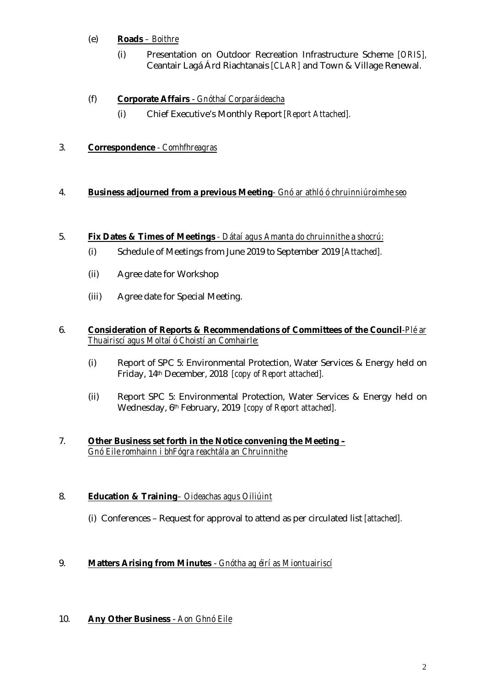# (e) **Roads** *– Boithre*

(i) Presentation on Outdoor Recreation Infrastructure Scheme *[ORIS],*  Ceantair Lagá Árd Riachtanais *[CLAR]* and Town & Village Renewal.

# (f) **Corporate Affairs** - *Gnóthaí Corparáideacha*

(i) Chief Executive's Monthly Report *[Report Attached].*

# 3. **Correspondence** *- Comhfhreagras*

#### 4. **Business adjourned from a previous Meeting***- Gnó ar athló ó chruinniúroimhe seo*

#### 5. **Fix Dates & Times of Meetings** *- Dátaí agus Amanta do chruinnithe a shocrú:*

- (i) Schedule of Meetings from June 2019 to September 2019 *[Attached].*
- (ii) Agree date for Workshop
- (iii) Agree date for Special Meeting.

#### 6. **Consideration of Reports & Recommendations of Committees of the Council***-Plé ar Thuairiscí agus Moltaí ó Choistí an Comhairle:*

- (i) Report of SPC 5: Environmental Protection, Water Services & Energy held on Friday, 14th December, 2018 *[copy of Report attached].*
- (ii) Report SPC 5: Environmental Protection, Water Services & Energy held on Wednesday, 6th February, 2019 *[copy of Report attached].*

#### 7. **Other Business set forth in the Notice convening the Meeting –** *Gnó Eile romhainn i bhFógra reachtála an Chruinnithe*

#### 8. **Education & Training***– Oideachas agus Oiliúint*

(i) Conferences – Request for approval to attend as per circulated list *[attached].*

#### 9. **Matters Arising from Minutes** - *Gnótha ag éirí as Miontuairiscí*

#### 10. **Any Other Business** - *Aon Ghnó Eile*